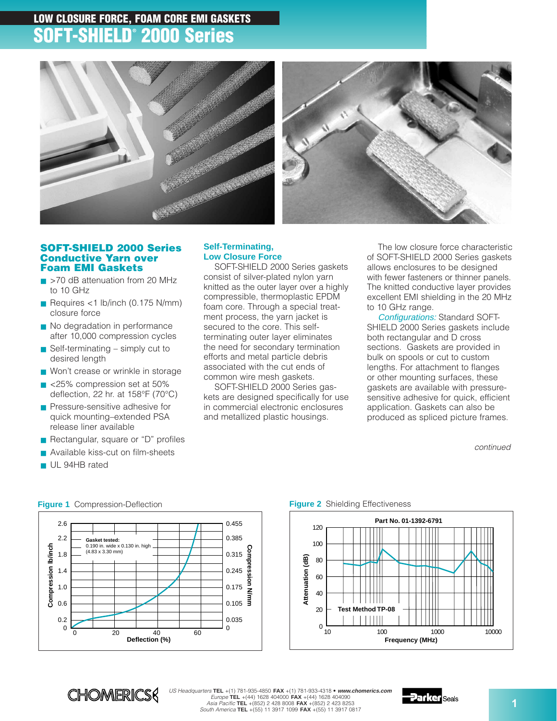# **LOW CLOSURE FORCE, FOAM CORE EMI GASKETS SOFT-SHIELD® 2000 Series**





### **SOFT-SHIELD 2000 Series Conductive Yarn over Foam EMI Gaskets**

- >70 dB attenuation from 20 MHz to 10 GHz
- Requires  $<$ 1 lb/inch (0.175 N/mm) closure force
- No degradation in performance after 10,000 compression cycles
- $\blacksquare$  Self-terminating simply cut to desired length
- Won't crease or wrinkle in storage
- <25% compression set at 50% deflection, 22 hr. at 158°F (70°C)
- Pressure-sensitive adhesive for quick mounting–extended PSA release liner available
- Rectangular, square or "D" profiles
- Available kiss-cut on film-sheets
- UL 94HB rated

#### 2.6 0.455 0.385 2.2 **Gasket tested:**  0.190 in. wide x 0.130 in. high Compression Ib/inch **Compression lb/inch**  $0.315$   $\frac{5}{5}$ **Compression N/mm** (4.83 x 3.30 mm) 1.8 င်းဒီ 0.245 1.4 g 0.175 1.0 ₹ 0.6  $0.105$   $\overline{5}$ 0.2 0.035  $\Omega$  $\Omega$ 0 20 40 60 **Deflection (%)**

#### **Self-Terminating, Low Closure Force**

SOFT-SHIELD 2000 Series gaskets consist of silver-plated nylon yarn knitted as the outer layer over a highly compressible, thermoplastic EPDM foam core. Through a special treatment process, the yarn jacket is secured to the core. This selfterminating outer layer eliminates the need for secondary termination efforts and metal particle debris associated with the cut ends of common wire mesh gaskets.

SOFT-SHIELD 2000 Series gaskets are designed specifically for use in commercial electronic enclosures and metallized plastic housings.

The low closure force characteristic of SOFT-SHIELD 2000 Series gaskets allows enclosures to be designed with fewer fasteners or thinner panels. The knitted conductive layer provides excellent EMI shielding in the 20 MHz to 10 GHz range.

Configurations: Standard SOFT-SHIELD 2000 Series gaskets include both rectangular and D cross sections. Gaskets are provided in bulk on spools or cut to custom lengths. For attachment to flanges or other mounting surfaces, these gaskets are available with pressuresensitive adhesive for quick, efficient application. Gaskets can also be produced as spliced picture frames.

continued



#### **Figure 1** Compression-Deflection **Figure 2** Shielding Effectiveness



US Headquarters **TEL** +(1) 781-935-4850 **FAX** +(1) 781-933-4318 • **www.chomerics.com** Europe **TEL** +(44) 1628 404000 **FAX** +(44) 1628 404090 Asia Pacific **TEL** +(852) 2 428 8008 **FAX** +(852) 2 423 8253 South America **TEL** +(55) 11 3917 1099 **FAX** +(55) 11 3917 0817